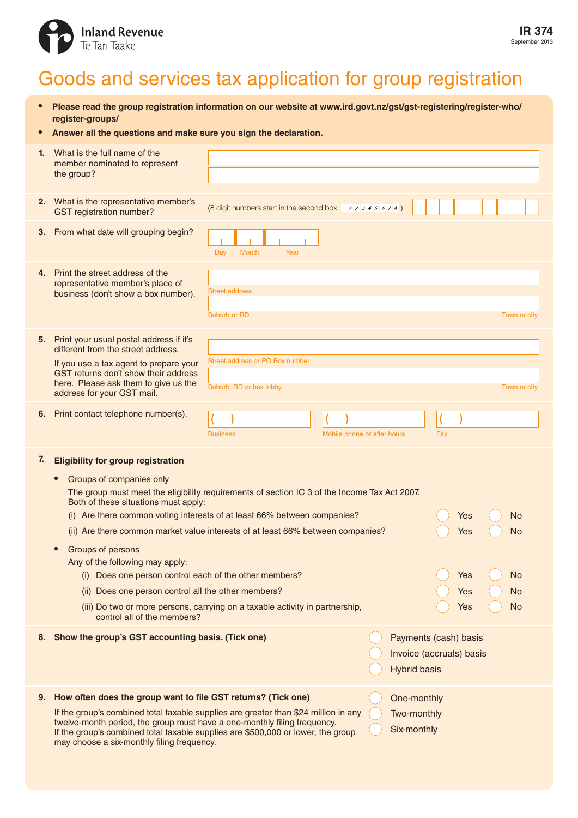

## Goods and services tax application for group registration

- **• Please read the group registration information on our website at www.ird.govt.nz/gst/gst-registering/register-who/ register-groups/**
- **• Answer all the questions and make sure you sign the declaration.**

| 1. | What is the full name of the<br>member nominated to represent<br>the group?                                                                                                                                                                                                                                                                                                                                                                                                                                                                                                                                                                                                                                                                                |                                                                                                                                                                                                                      |  |  |
|----|------------------------------------------------------------------------------------------------------------------------------------------------------------------------------------------------------------------------------------------------------------------------------------------------------------------------------------------------------------------------------------------------------------------------------------------------------------------------------------------------------------------------------------------------------------------------------------------------------------------------------------------------------------------------------------------------------------------------------------------------------------|----------------------------------------------------------------------------------------------------------------------------------------------------------------------------------------------------------------------|--|--|
|    | 2. What is the representative member's<br><b>GST</b> registration number?                                                                                                                                                                                                                                                                                                                                                                                                                                                                                                                                                                                                                                                                                  | (8 digit numbers start in the second box. 12345678)                                                                                                                                                                  |  |  |
|    | 3. From what date will grouping begin?                                                                                                                                                                                                                                                                                                                                                                                                                                                                                                                                                                                                                                                                                                                     | <b>Month</b><br>Year<br>Day                                                                                                                                                                                          |  |  |
|    | 4. Print the street address of the<br>representative member's place of<br>business (don't show a box number).                                                                                                                                                                                                                                                                                                                                                                                                                                                                                                                                                                                                                                              | <b>Street address</b><br>Suburb or RD<br>Town or city                                                                                                                                                                |  |  |
| 5. | Print your usual postal address if it's<br>different from the street address.                                                                                                                                                                                                                                                                                                                                                                                                                                                                                                                                                                                                                                                                              |                                                                                                                                                                                                                      |  |  |
|    | If you use a tax agent to prepare your<br>GST returns don't show their address<br>here. Please ask them to give us the<br>address for your GST mail.                                                                                                                                                                                                                                                                                                                                                                                                                                                                                                                                                                                                       | <b>Street address or PO Box number</b><br>Suburb, RD or box lobby<br>Town or city                                                                                                                                    |  |  |
|    | 6. Print contact telephone number(s).                                                                                                                                                                                                                                                                                                                                                                                                                                                                                                                                                                                                                                                                                                                      |                                                                                                                                                                                                                      |  |  |
|    |                                                                                                                                                                                                                                                                                                                                                                                                                                                                                                                                                                                                                                                                                                                                                            | Mobile phone or after hours<br>Fax<br><b>Business</b>                                                                                                                                                                |  |  |
| 7. | <b>Eligibility for group registration</b><br>Groups of companies only<br>The group must meet the eligibility requirements of section IC 3 of the Income Tax Act 2007.<br>Both of these situations must apply:<br>(i) Are there common voting interests of at least 66% between companies?<br>Yes<br>No<br>(ii) Are there common market value interests of at least 66% between companies?<br>Yes<br>No<br>Groups of persons<br>Any of the following may apply:<br>Yes<br>(i) Does one person control each of the other members?<br><b>No</b><br>(ii) Does one person control all the other members?<br>Yes<br><b>No</b><br>(iii) Do two or more persons, carrying on a taxable activity in partnership,<br>Yes<br><b>No</b><br>control all of the members? |                                                                                                                                                                                                                      |  |  |
|    | 8. Show the group's GST accounting basis. (Tick one)                                                                                                                                                                                                                                                                                                                                                                                                                                                                                                                                                                                                                                                                                                       | Payments (cash) basis<br>Invoice (accruals) basis<br><b>Hybrid basis</b>                                                                                                                                             |  |  |
| 9. | How often does the group want to file GST returns? (Tick one)<br>twelve-month period, the group must have a one-monthly filing frequency.<br>may choose a six-monthly filing frequency.                                                                                                                                                                                                                                                                                                                                                                                                                                                                                                                                                                    | One-monthly<br>If the group's combined total taxable supplies are greater than \$24 million in any<br>Two-monthly<br>Six-monthly<br>If the group's combined total taxable supplies are \$500,000 or lower, the group |  |  |